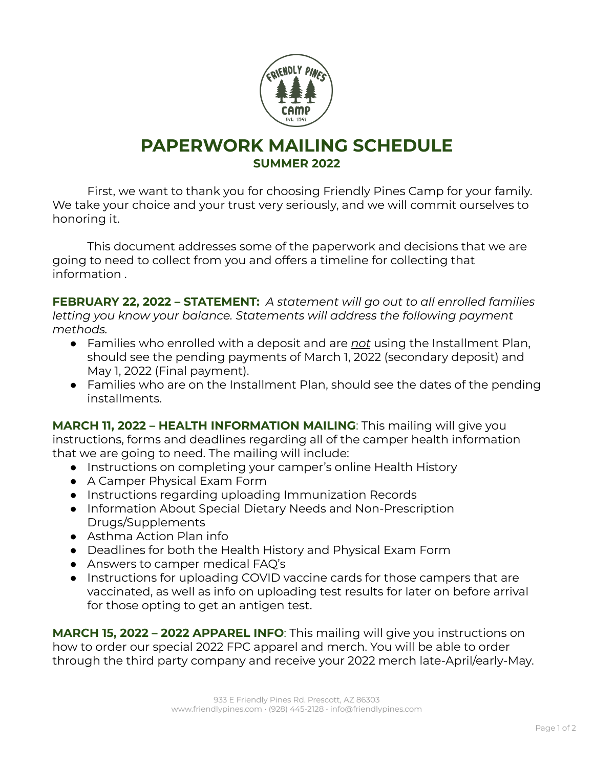

## **PAPERWORK MAILING SCHEDULE SUMMER 2022**

First, we want to thank you for choosing Friendly Pines Camp for your family. We take your choice and your trust very seriously, and we will commit ourselves to honoring it.

This document addresses some of the paperwork and decisions that we are going to need to collect from you and offers a timeline for collecting that information .

**FEBRUARY 22, 2022 – STATEMENT:** *A statement will go out to all enrolled families letting you know your balance. Statements will address the following payment methods.*

- Families who enrolled with a deposit and are *not* using the Installment Plan, should see the pending payments of March 1, 2022 (secondary deposit) and May 1, 2022 (Final payment).
- Families who are on the Installment Plan, should see the dates of the pending installments.

**MARCH 11, 2022 – HEALTH INFORMATION MAILING**: This mailing will give you instructions, forms and deadlines regarding all of the camper health information that we are going to need. The mailing will include:

- Instructions on completing your camper's online Health History
- A Camper Physical Exam Form
- Instructions regarding uploading Immunization Records
- Information About Special Dietary Needs and Non-Prescription Drugs/Supplements
- Asthma Action Plan info
- Deadlines for both the Health History and Physical Exam Form
- Answers to camper medical FAQ's
- Instructions for uploading COVID vaccine cards for those campers that are vaccinated, as well as info on uploading test results for later on before arrival for those opting to get an antigen test.

**MARCH 15, 2022 – 2022 APPAREL INFO**: This mailing will give you instructions on how to order our special 2022 FPC apparel and merch. You will be able to order through the third party company and receive your 2022 merch late-April/early-May.